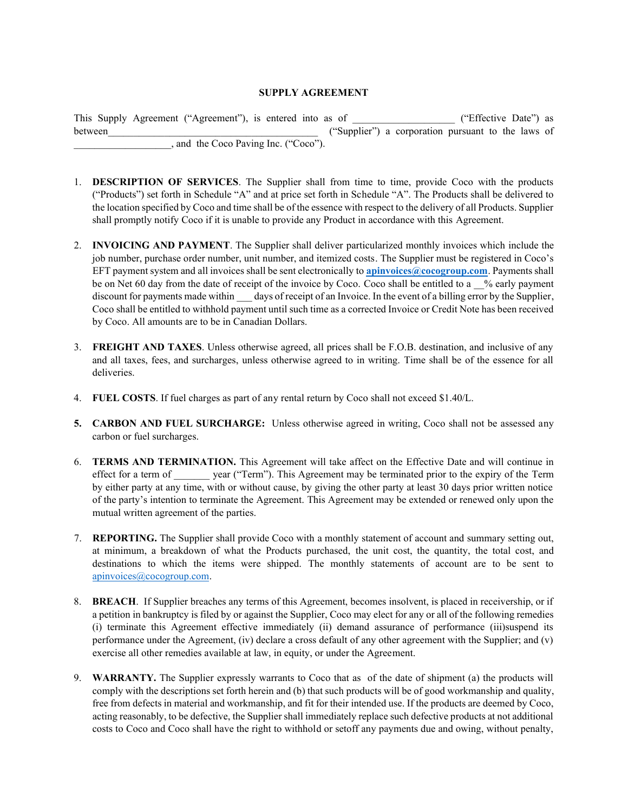## **SUPPLY AGREEMENT**

This Supply Agreement ("Agreement"), is entered into as of ("Effective Date") as between  $($ "Supplier") a corporation pursuant to the laws of . and the Coco Paving Inc. ("Coco").

- 1. **DESCRIPTION OF SERVICES**. The Supplier shall from time to time, provide Coco with the products ("Products") set forth in Schedule "A" and at price set forth in Schedule "A". The Products shall be delivered to the location specified by Coco and time shall be of the essence with respect to the delivery of all Products. Supplier shall promptly notify Coco if it is unable to provide any Product in accordance with this Agreement.
- 2. **INVOICING AND PAYMENT**. The Supplier shall deliver particularized monthly invoices which include the job number, purchase order number, unit number, and itemized costs. The Supplier must be registered in Coco's EFT payment system and all invoices shall be sent electronically to **apinvoices@cocogroup.com**. Payments shall be on Net 60 day from the date of receipt of the invoice by Coco. Coco shall be entitled to a % early payment discount for payments made within days of receipt of an Invoice. In the event of a billing error by the Supplier, Coco shall be entitled to withhold payment until such time as a corrected Invoice or Credit Note has been received by Coco. All amounts are to be in Canadian Dollars.
- 3. **FREIGHT AND TAXES**. Unless otherwise agreed, all prices shall be F.O.B. destination, and inclusive of any and all taxes, fees, and surcharges, unless otherwise agreed to in writing. Time shall be of the essence for all deliveries.
- 4. **FUEL COSTS**. If fuel charges as part of any rental return by Coco shall not exceed \$1.40/L.
- **5. CARBON AND FUEL SURCHARGE:** Unless otherwise agreed in writing, Coco shall not be assessed any carbon or fuel surcharges.
- 6. **TERMS AND TERMINATION.** This Agreement will take affect on the Effective Date and will continue in effect for a term of year ("Term"). This Agreement may be terminated prior to the expiry of the Term by either party at any time, with or without cause, by giving the other party at least 30 days prior written notice of the party's intention to terminate the Agreement. This Agreement may be extended or renewed only upon the mutual written agreement of the parties.
- 7. **REPORTING.** The Supplier shall provide Coco with a monthly statement of account and summary setting out, at minimum, a breakdown of what the Products purchased, the unit cost, the quantity, the total cost, and destinations to which the items were shipped. The monthly statements of account are to be sent to apinvoices@cocogroup.com.
- 8. **BREACH**. If Supplier breaches any terms of this Agreement, becomes insolvent, is placed in receivership, or if a petition in bankruptcy is filed by or against the Supplier, Coco may elect for any or all of the following remedies (i) terminate this Agreement effective immediately (ii) demand assurance of performance (iii)suspend its performance under the Agreement, (iv) declare a cross default of any other agreement with the Supplier; and (v) exercise all other remedies available at law, in equity, or under the Agreement.
- 9. **WARRANTY.** The Supplier expressly warrants to Coco that as of the date of shipment (a) the products will comply with the descriptions set forth herein and (b) that such products will be of good workmanship and quality, free from defects in material and workmanship, and fit for their intended use. If the products are deemed by Coco, acting reasonably, to be defective, the Supplier shall immediately replace such defective products at not additional costs to Coco and Coco shall have the right to withhold or setoff any payments due and owing, without penalty,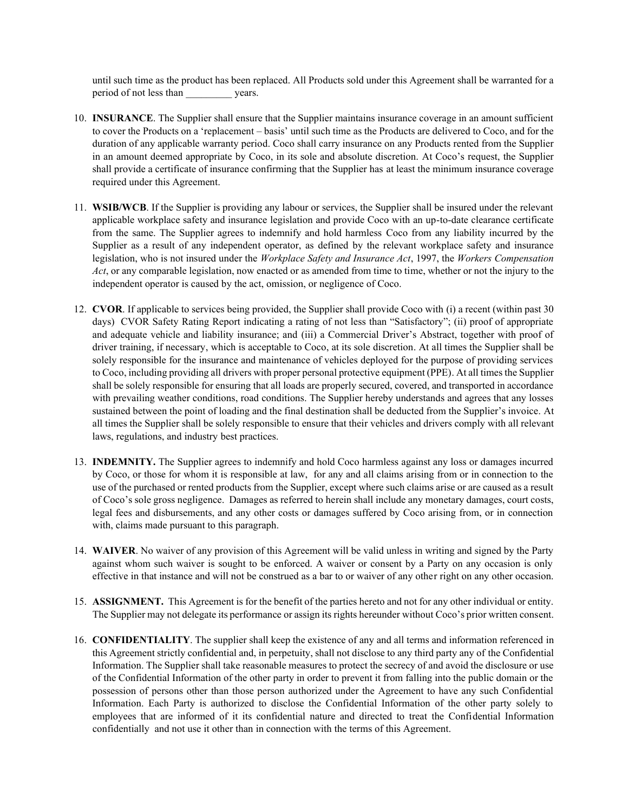until such time as the product has been replaced. All Products sold under this Agreement shall be warranted for a period of not less than years.

- 10. **INSURANCE**. The Supplier shall ensure that the Supplier maintains insurance coverage in an amount sufficient to cover the Products on a 'replacement – basis' until such time as the Products are delivered to Coco, and for the duration of any applicable warranty period. Coco shall carry insurance on any Products rented from the Supplier in an amount deemed appropriate by Coco, in its sole and absolute discretion. At Coco's request, the Supplier shall provide a certificate of insurance confirming that the Supplier has at least the minimum insurance coverage required under this Agreement.
- 11. **WSIB/WCB**. If the Supplier is providing any labour or services, the Supplier shall be insured under the relevant applicable workplace safety and insurance legislation and provide Coco with an up-to-date clearance certificate from the same. The Supplier agrees to indemnify and hold harmless Coco from any liability incurred by the Supplier as a result of any independent operator, as defined by the relevant workplace safety and insurance legislation, who is not insured under the *Workplace Safety and Insurance Act*, 1997, the *Workers Compensation Act*, or any comparable legislation, now enacted or as amended from time to time, whether or not the injury to the independent operator is caused by the act, omission, or negligence of Coco.
- 12. **CVOR**. If applicable to services being provided, the Supplier shall provide Coco with (i) a recent (within past 30 days) CVOR Safety Rating Report indicating a rating of not less than "Satisfactory"; (ii) proof of appropriate and adequate vehicle and liability insurance; and (iii) a Commercial Driver's Abstract, together with proof of driver training, if necessary, which is acceptable to Coco, at its sole discretion. At all times the Supplier shall be solely responsible for the insurance and maintenance of vehicles deployed for the purpose of providing services to Coco, including providing all drivers with proper personal protective equipment (PPE). At all times the Supplier shall be solely responsible for ensuring that all loads are properly secured, covered, and transported in accordance with prevailing weather conditions, road conditions. The Supplier hereby understands and agrees that any losses sustained between the point of loading and the final destination shall be deducted from the Supplier's invoice. At all times the Supplier shall be solely responsible to ensure that their vehicles and drivers comply with all relevant laws, regulations, and industry best practices.
- 13. **INDEMNITY.** The Supplier agrees to indemnify and hold Coco harmless against any loss or damages incurred by Coco, or those for whom it is responsible at law, for any and all claims arising from or in connection to the use of the purchased or rented products from the Supplier, except where such claims arise or are caused as a result of Coco's sole gross negligence. Damages as referred to herein shall include any monetary damages, court costs, legal fees and disbursements, and any other costs or damages suffered by Coco arising from, or in connection with, claims made pursuant to this paragraph.
- 14. **WAIVER**. No waiver of any provision of this Agreement will be valid unless in writing and signed by the Party against whom such waiver is sought to be enforced. A waiver or consent by a Party on any occasion is only effective in that instance and will not be construed as a bar to or waiver of any other right on any other occasion.
- 15. **ASSIGNMENT.** This Agreement is for the benefit of the parties hereto and not for any other individual or entity. The Supplier may not delegate its performance or assign its rights hereunder without Coco's prior written consent.
- 16. **CONFIDENTIALITY**. The supplier shall keep the existence of any and all terms and information referenced in this Agreement strictly confidential and, in perpetuity, shall not disclose to any third party any of the Confidential Information. The Supplier shall take reasonable measures to protect the secrecy of and avoid the disclosure or use of the Confidential Information of the other party in order to prevent it from falling into the public domain or the possession of persons other than those person authorized under the Agreement to have any such Confidential Information. Each Party is authorized to disclose the Confidential Information of the other party solely to employees that are informed of it its confidential nature and directed to treat the Confidential Information confidentially and not use it other than in connection with the terms of this Agreement.